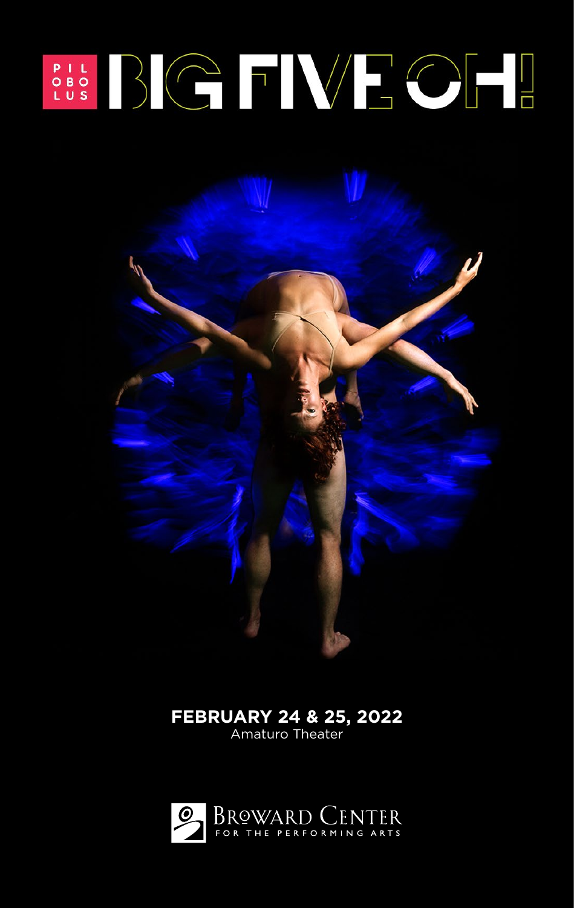# SOS BICTWECH

## **FEBRUARY 24 & 25, 2022**

Amaturo Theater

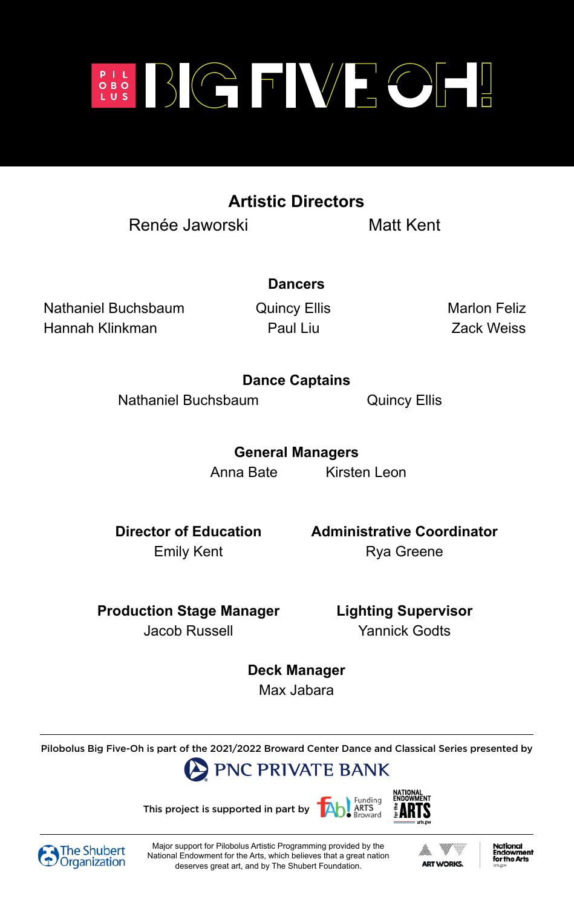

## **Artistic Directors**

Renée Jaworski Matt Kent

Nathaniel Buchsbaum **Quincy Ellis** Marlon Feliz Hannah Klinkman Paul Liu Zack Weiss

**Paul Liu** 

**Dancers**

### **Dance Captains**

Nathaniel Buchsbaum **Quincy Ellis** 

**General Managers** Anna Bate Kirsten Leon

**Dance Captains**

**General Managers**  $\sum_{i=1}^n$ 

**Director of Education Administrative Coordinator** Emily Kent **Rya Greene** 

**Production Stage Manager Lighting Supervisor Jacob Russell** 

Yannick Godts

**Deck Manager** Max Jabara

Pilobolus Big Five-Oh is part of the 2021/2022 Broward Center Dance and Classical Series presented by











Major support for Pilobolus Artistic Programming provided by the National Endowment for the Arts, which believes that a great nation deserves great art, and by The Shubert Foundation.



**National** the Art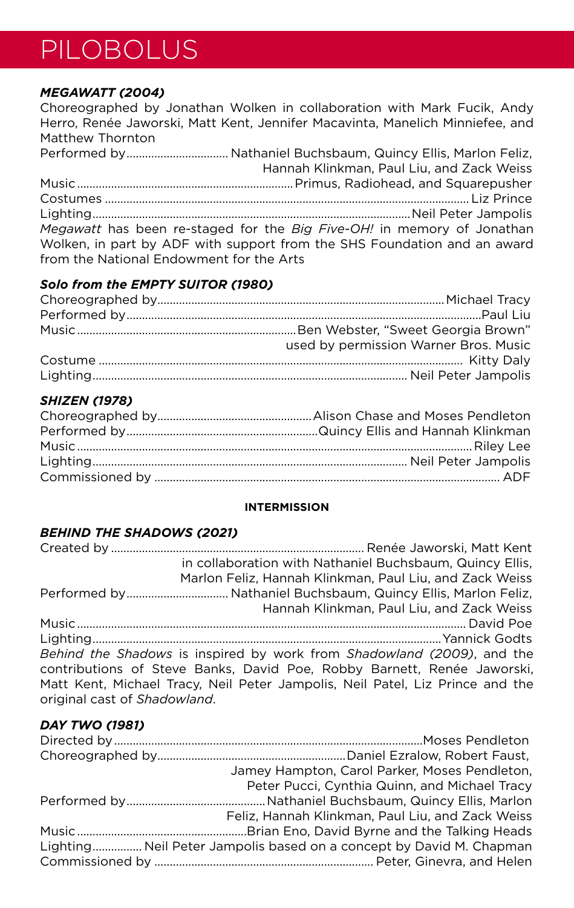## PILOBOLUS

#### *MEGAWATT (2004)*

Choreographed by Jonathan Wolken in collaboration with Mark Fucik, Andy Herro, Renée Jaworski, Matt Kent, Jennifer Macavinta, Manelich Minniefee, and Matthew Thornton Performed by................................. Nathaniel Buchsbaum, Quincy Ellis, Marlon Feliz, Hannah Klinkman, Paul Liu, and Zack Weiss Music......................................................................Primus, Radiohead, and Squarepusher Costumes ...................................................................................................................... Liz Prince Lighting.......................................................................................................Neil Peter Jampolis *Megawatt* has been re-staged for the *Big Five-OH!* in memory of Jonathan Wolken, in part by ADF with support from the SHS Foundation and an award from the National Endowment for the Arts

#### *Solo from the EMPTY SUITOR (1980)*

| used by permission Warner Bros, Music |
|---------------------------------------|
|                                       |
|                                       |

#### *SHIZEN (1978)*

#### **INTERMISSION**

#### *BEHIND THE SHADOWS (2021)*

|                              | in collaboration with Nathaniel Buchsbaum. Quincy Ellis.                      |
|------------------------------|-------------------------------------------------------------------------------|
|                              | Marlon Feliz, Hannah Klinkman, Paul Liu, and Zack Weiss                       |
|                              |                                                                               |
|                              | Hannah Klinkman, Paul Liu, and Zack Weiss                                     |
|                              |                                                                               |
|                              |                                                                               |
|                              | Behind the Shadows is inspired by work from Shadowland (2009), and the        |
|                              | contributions of Steve Banks, David Poe, Robby Barnett, Renée Jaworski,       |
|                              | Matt Kent, Michael Tracy, Neil Peter Jampolis, Neil Patel, Liz Prince and the |
| original cast of Shadowland. |                                                                               |

#### *DAY TWO (1981)*

| Jamey Hampton, Carol Parker, Moses Pendleton,                       |
|---------------------------------------------------------------------|
| Peter Pucci, Cynthia Quinn, and Michael Tracy                       |
|                                                                     |
| Feliz, Hannah Klinkman, Paul Liu, and Zack Weiss                    |
|                                                                     |
| Lighting Neil Peter Jampolis based on a concept by David M. Chapman |
|                                                                     |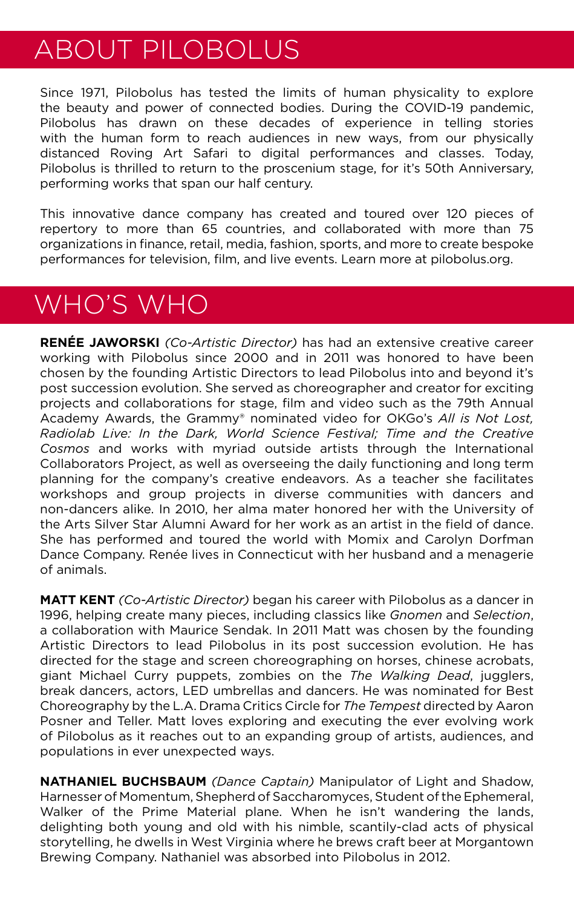## ABOUT PILOBOLUS

Since 1971, Pilobolus has tested the limits of human physicality to explore the beauty and power of connected bodies. During the COVID-19 pandemic, Pilobolus has drawn on these decades of experience in telling stories with the human form to reach audiences in new ways, from our physically distanced Roving Art Safari to digital performances and classes. Today, Pilobolus is thrilled to return to the proscenium stage, for it's 50th Anniversary, performing works that span our half century.

This innovative dance company has created and toured over 120 pieces of repertory to more than 65 countries, and collaborated with more than 75 organizations in finance, retail, media, fashion, sports, and more to create bespoke performances for television, film, and live events. Learn more at pilobolus.org.

# WHO'S WHO

**RENÉE JAWORSKI** *(Co-Artistic Director)* has had an extensive creative career working with Pilobolus since 2000 and in 2011 was honored to have been chosen by the founding Artistic Directors to lead Pilobolus into and beyond it's post succession evolution. She served as choreographer and creator for exciting projects and collaborations for stage, film and video such as the 79th Annual Academy Awards, the Grammy® nominated video for OKGo's *All is Not Lost, Radiolab Live: In the Dark, World Science Festival; Time and the Creative Cosmos* and works with myriad outside artists through the International Collaborators Project, as well as overseeing the daily functioning and long term planning for the company's creative endeavors. As a teacher she facilitates workshops and group projects in diverse communities with dancers and non-dancers alike. In 2010, her alma mater honored her with the University of the Arts Silver Star Alumni Award for her work as an artist in the field of dance. She has performed and toured the world with Momix and Carolyn Dorfman Dance Company. Renée lives in Connecticut with her husband and a menagerie of animals.

**MATT KENT** *(Co-Artistic Director)* began his career with Pilobolus as a dancer in 1996, helping create many pieces, including classics like *Gnomen* and *Selection*, a collaboration with Maurice Sendak. In 2011 Matt was chosen by the founding Artistic Directors to lead Pilobolus in its post succession evolution. He has directed for the stage and screen choreographing on horses, chinese acrobats, giant Michael Curry puppets, zombies on the *The Walking Dead*, jugglers, break dancers, actors, LED umbrellas and dancers. He was nominated for Best Choreography by the L.A. Drama Critics Circle for *The Tempest* directed by Aaron Posner and Teller. Matt loves exploring and executing the ever evolving work of Pilobolus as it reaches out to an expanding group of artists, audiences, and populations in ever unexpected ways.

**NATHANIEL BUCHSBAUM** *(Dance Captain)* Manipulator of Light and Shadow, Harnesser of Momentum, Shepherd of Saccharomyces, Student of the Ephemeral, Walker of the Prime Material plane. When he isn't wandering the lands, delighting both young and old with his nimble, scantily-clad acts of physical storytelling, he dwells in West Virginia where he brews craft beer at Morgantown Brewing Company. Nathaniel was absorbed into Pilobolus in 2012.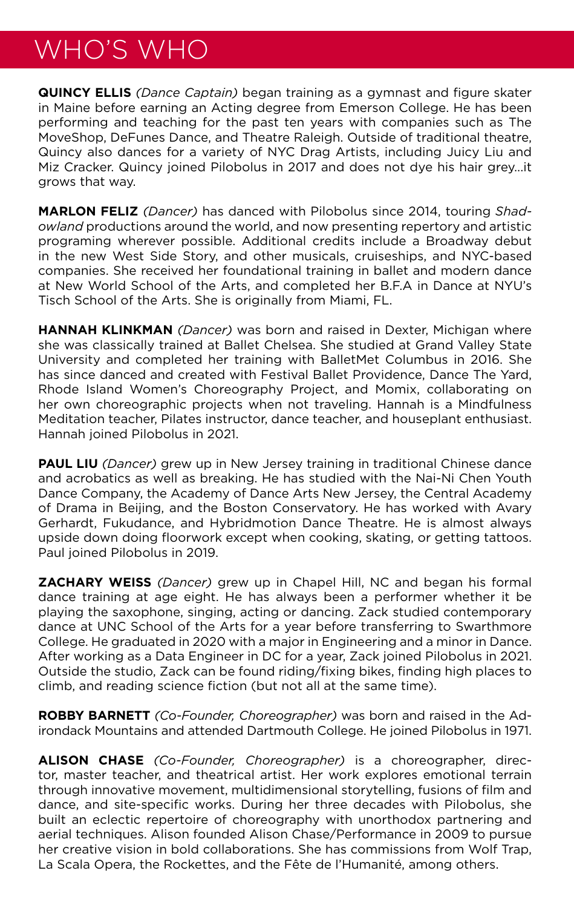# WHO'S WHO

**QUINCY ELLIS** *(Dance Captain)* began training as a gymnast and figure skater in Maine before earning an Acting degree from Emerson College. He has been performing and teaching for the past ten years with companies such as The MoveShop, DeFunes Dance, and Theatre Raleigh. Outside of traditional theatre, Quincy also dances for a variety of NYC Drag Artists, including Juicy Liu and Miz Cracker. Quincy joined Pilobolus in 2017 and does not dye his hair grey...it grows that way.

**MARLON FELIZ** *(Dancer)* has danced with Pilobolus since 2014, touring *Shadowland* productions around the world, and now presenting repertory and artistic programing wherever possible. Additional credits include a Broadway debut in the new West Side Story, and other musicals, cruiseships, and NYC-based companies. She received her foundational training in ballet and modern dance at New World School of the Arts, and completed her B.F.A in Dance at NYU's Tisch School of the Arts. She is originally from Miami, FL.

**HANNAH KLINKMAN** *(Dancer)* was born and raised in Dexter, Michigan where she was classically trained at Ballet Chelsea. She studied at Grand Valley State University and completed her training with BalletMet Columbus in 2016. She has since danced and created with Festival Ballet Providence, Dance The Yard, Rhode Island Women's Choreography Project, and Momix, collaborating on her own choreographic projects when not traveling. Hannah is a Mindfulness Meditation teacher, Pilates instructor, dance teacher, and houseplant enthusiast. Hannah joined Pilobolus in 2021.

**PAUL LIU** *(Dancer)* grew up in New Jersey training in traditional Chinese dance and acrobatics as well as breaking. He has studied with the Nai-Ni Chen Youth Dance Company, the Academy of Dance Arts New Jersey, the Central Academy of Drama in Beijing, and the Boston Conservatory. He has worked with Avary Gerhardt, Fukudance, and Hybridmotion Dance Theatre. He is almost always upside down doing floorwork except when cooking, skating, or getting tattoos. Paul joined Pilobolus in 2019.

**ZACHARY WEISS** *(Dancer)* grew up in Chapel Hill, NC and began his formal dance training at age eight. He has always been a performer whether it be playing the saxophone, singing, acting or dancing. Zack studied contemporary dance at UNC School of the Arts for a year before transferring to Swarthmore College. He graduated in 2020 with a major in Engineering and a minor in Dance. After working as a Data Engineer in DC for a year, Zack joined Pilobolus in 2021. Outside the studio, Zack can be found riding/fixing bikes, finding high places to climb, and reading science fiction (but not all at the same time).

**ROBBY BARNETT** *(Co-Founder, Choreographer)* was born and raised in the Adirondack Mountains and attended Dartmouth College. He joined Pilobolus in 1971.

**ALISON CHASE** *(Co-Founder, Choreographer)* is a choreographer, director, master teacher, and theatrical artist. Her work explores emotional terrain through innovative movement, multidimensional storytelling, fusions of film and dance, and site-specific works. During her three decades with Pilobolus, she built an eclectic repertoire of choreography with unorthodox partnering and aerial techniques. Alison founded Alison Chase/Performance in 2009 to pursue her creative vision in bold collaborations. She has commissions from Wolf Trap, La Scala Opera, the Rockettes, and the Fête de l'Humanité, among others.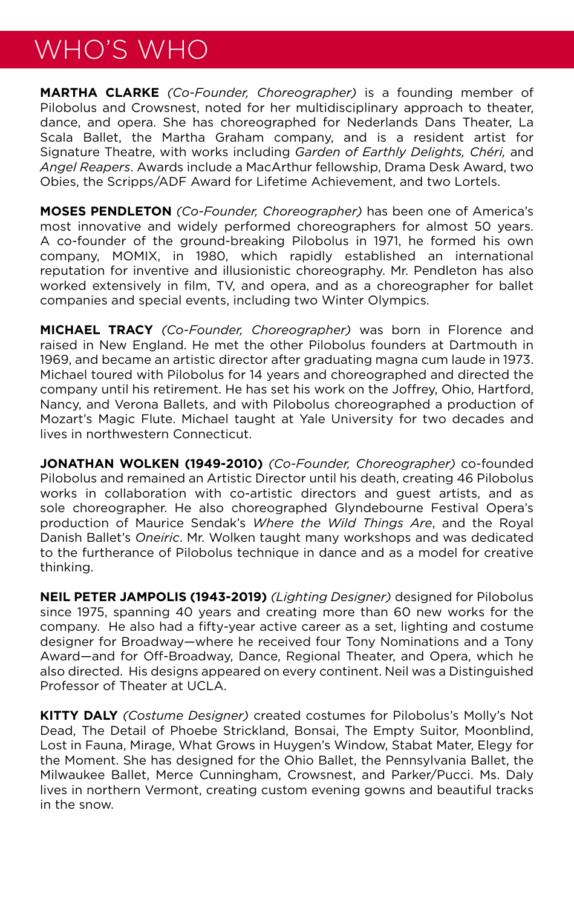## WHO'S WHO

**MARTHA CLARKE** *(Co-Founder, Choreographer)* is a founding member of Pilobolus and Crowsnest, noted for her multidisciplinary approach to theater, dance, and opera. She has choreographed for Nederlands Dans Theater, La Scala Ballet, the Martha Graham company, and is a resident artist for Signature Theatre, with works including *Garden of Earthly Delights, Chéri,* and *Angel Reapers*. Awards include a MacArthur fellowship, Drama Desk Award, two Obies, the Scripps/ADF Award for Lifetime Achievement, and two Lortels.

**MOSES PENDLETON** *(Co-Founder, Choreographer)* has been one of America's most innovative and widely performed choreographers for almost 50 years. A co-founder of the ground-breaking Pilobolus in 1971, he formed his own company, MOMIX, in 1980, which rapidly established an international reputation for inventive and illusionistic choreography. Mr. Pendleton has also worked extensively in film, TV, and opera, and as a choreographer for ballet companies and special events, including two Winter Olympics.

**MICHAEL TRACY** *(Co-Founder, Choreographer)* was born in Florence and raised in New England. He met the other Pilobolus founders at Dartmouth in 1969, and became an artistic director after graduating magna cum laude in 1973. Michael toured with Pilobolus for 14 years and choreographed and directed the company until his retirement. He has set his work on the Joffrey, Ohio, Hartford, Nancy, and Verona Ballets, and with Pilobolus choreographed a production of Mozart's Magic Flute. Michael taught at Yale University for two decades and lives in northwestern Connecticut.

**JONATHAN WOLKEN (1949-2010)** *(Co-Founder, Choreographer)* co-founded Pilobolus and remained an Artistic Director until his death, creating 46 Pilobolus works in collaboration with co-artistic directors and guest artists, and as sole choreographer. He also choreographed Glyndebourne Festival Opera's production of Maurice Sendak's *Where the Wild Things Are*, and the Royal Danish Ballet's *Oneiric*. Mr. Wolken taught many workshops and was dedicated to the furtherance of Pilobolus technique in dance and as a model for creative thinking.

**NEIL PETER JAMPOLIS (1943-2019)** *(Lighting Designer)* designed for Pilobolus since 1975, spanning 40 years and creating more than 60 new works for the company. He also had a fifty-year active career as a set, lighting and costume designer for Broadway—where he received four Tony Nominations and a Tony Award—and for Off-Broadway, Dance, Regional Theater, and Opera, which he also directed. His designs appeared on every continent. Neil was a Distinguished Professor of Theater at UCLA.

**KITTY DALY** *(Costume Designer)* created costumes for Pilobolus's Molly's Not Dead, The Detail of Phoebe Strickland, Bonsai, The Empty Suitor, Moonblind, Lost in Fauna, Mirage, What Grows in Huygen's Window, Stabat Mater, Elegy for the Moment. She has designed for the Ohio Ballet, the Pennsylvania Ballet, the Milwaukee Ballet, Merce Cunningham, Crowsnest, and Parker/Pucci. Ms. Daly lives in northern Vermont, creating custom evening gowns and beautiful tracks in the snow.